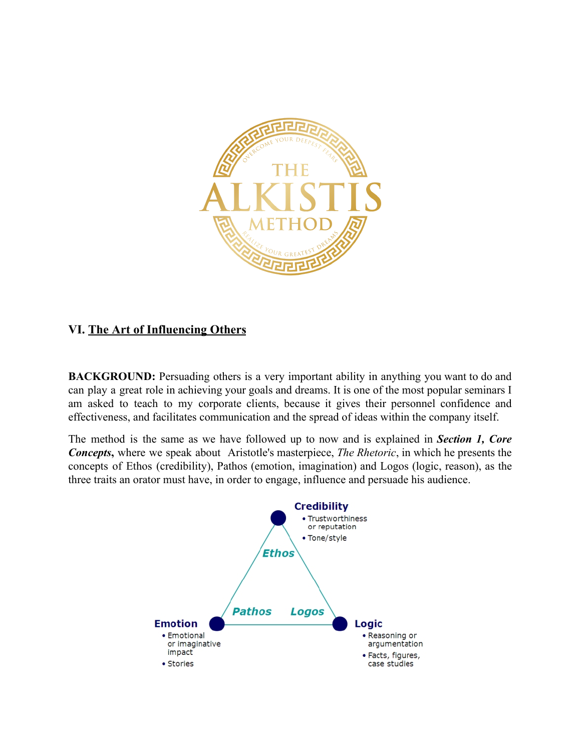

# **VI. The Art of Influencing Others**

**BACKGROUND:** Persuading others is a very important ability in anything you want to do and can play a great role in achieving your goals and dreams. It is one of the most popular seminars I am asked to teach to my corporate clients, because it gives their personnel confidence and effectiveness, and facilitates communication and the spread of ideas within the company itself.

The method is the same as we have followed up to now and is explained in *Section 1, Core Concepts*, where we speak about Aristotle's masterpiece, *The Rhetoric*, in which he presents the concepts of Ethos (credibility), Pathos (emotion, imagination) and Logos (logic, reason), as the three traits an orator must have, in order to engage, influence and persuade his audience.

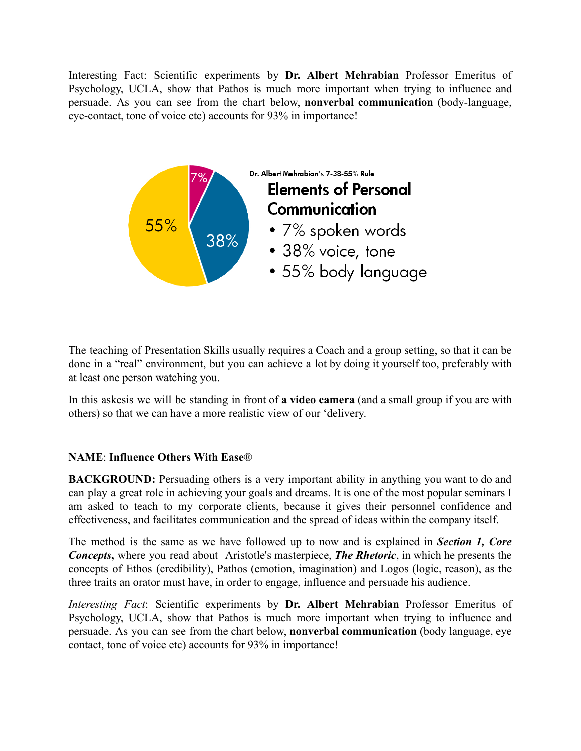Interesting Fact: Scientific experiments by **Dr. Albert Mehrabian** Professor Emeritus of Psychology, UCLA, show that Pathos is much more important when trying to influence and persuade. As you can see from the chart below, **nonverbal communication** (bodylanguage, eye-contact, tone of voice etc) accounts for 93% in importance!



The teaching of Presentation Skills usually requires a Coach and a group setting, so that it can be done in a "real" environment, but you can achieve a lot by doing it yourself too, preferably with at least one person watching you.

In this askesis we will be standing in front of **a video camera** (and a small group if you are with others) so that we can have a more realistic view of our 'delivery.

### **NAME** : **Influence Others With Ease** ®

**BACKGROUND:** Persuading others is a very important ability in anything you want to do and can play a great role in achieving your goals and dreams. It is one of the most popular seminars I am asked to teach to my corporate clients, because it gives their personnel confidence and effectiveness, and facilitates communication and the spread of ideas within the company itself.

The method is the same as we have followed up to now and is explained in *Section 1, Core Concepts*, where you read about Aristotle's masterpiece, **The Rhetoric**, in which he presents the concepts of Ethos (credibility), Pathos (emotion, imagination) and Logos (logic, reason), as the three traits an orator must have, in order to engage, influence and persuade his audience.

*Interesting Fact:* Scientific experiments by Dr. Albert Mehrabian Professor Emeritus of Psychology, UCLA, show that Pathos is much more important when trying to influence and persuade. As you can see from the chart below, **nonverbal communication** (body language, eye contact, tone of voice etc) accounts for 93% in importance!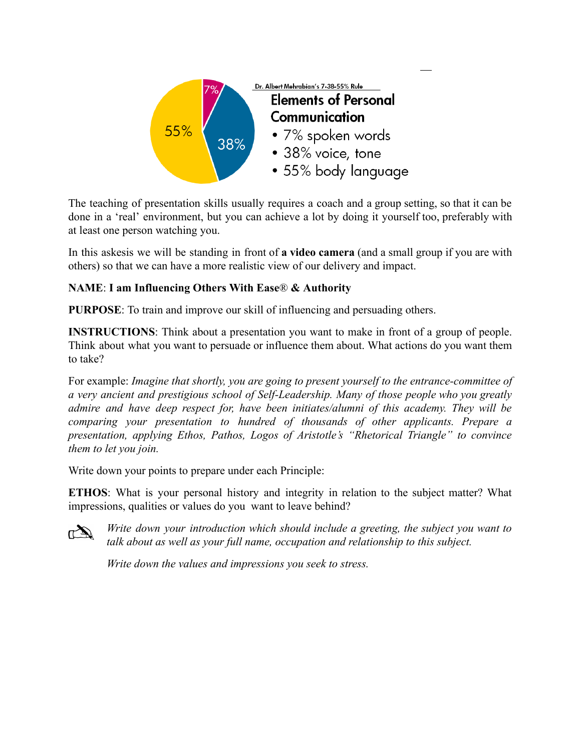

The teaching of presentation skills usually requires a coach and a group setting, so that it can be done in a 'real' environment, but you can achieve a lot by doing it yourself too, preferably with at least one person watching you.

In this askesis we will be standing in front of **a video camera** (and a small group if you are with others) so that we can have a more realistic view of our delivery and impact.

## **NAME:** I am Influencing Others With Ease® & Authority

**PURPOSE:** To train and improve our skill of influencing and persuading others.

**INSTRUCTIONS**: Think about a presentation you want to make in front of a group of people. Think about what you want to persuade or influence them about. What actions do you want them to take?

For example: *Imagine that shortly, you are going to present yourself to the entrancecommittee of a very ancient and prestigious school of SelfLeadership. Many of those people who you greatly admire and have deep respect for, have been initiates/alumni of this academy. They will be comparing your presentation to hundred of thousands of other applicants. Prepare a presentation, applying Ethos, Pathos, Logos of Aristotle's "Rhetorical Triangle" to convince them to let you join.*

Write down your points to prepare under each Principle:

**ETHOS**: What is your personal history and integrity in relation to the subject matter? What impressions, qualities or values do you want to leave behind?



*Write down your introduction which should include a greeting, the subject you want to talk about as well as your full name, occupation and relationship to this subject.*

*Write down the values and impressions you seek to stress.*